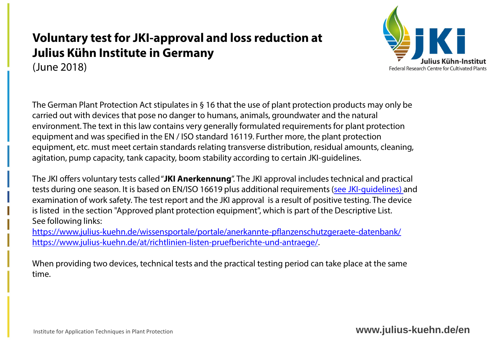## **Voluntary test for JKI-approval and loss reduction at Julius Kühn Institute in Germany** (June 2018)



The German Plant Protection Act stipulates in § 16 that the use of plant protection products may only be carried out with devices that pose no danger to humans, animals, groundwater and the natural environment. The text in this law contains very generally formulated requirements for plant protection equipment and was specified in the EN / ISO standard 16119. Further more, the plant protection equipment, etc. must meet certain standards relating transverse distribution, residual amounts, cleaning, agitation, pump capacity, tank capacity, boom stability according to certain JKI-guidelines.

The JKI offers voluntary tests called "**JKI Anerkennung**". The JKI approval includes technical and practical tests during one season. It is based on EN/ISO 16619 plus additional requirements ([see JKI-guidelines\)](https://www.julius-kuehn.de/at/richtlinien-listen-pruefberichte-und-antraege/) and examination of work safety. The test report and the JKI approval is a result of positive testing. The device is listed in the section "Approved plant protection equipment", which is part of the Descriptive List. See following links:

<https://www.julius-kuehn.de/wissensportale/portale/anerkannte-pflanzenschutzgeraete-datenbank/> <https://www.julius-kuehn.de/at/richtlinien-listen-pruefberichte-und-antraege/>.

When providing two devices, technical tests and the practical testing period can take place at the same time.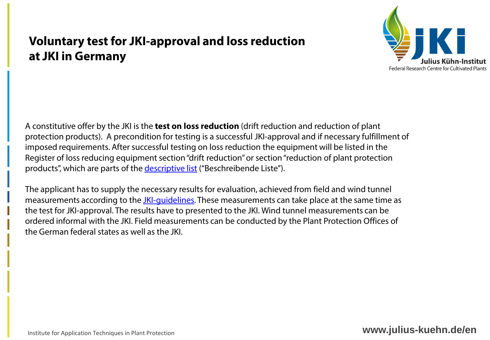## **Voluntary test for JKI-approval and loss reduction at JKI in Germany**



A constitutive offer by the JKI is the **test on loss reduction** (drift reduction and reduction of plant protection products). A precondition for testing is a successful JKI-approval and if necessary fulfillment of imposed requirements. After successful testing on loss reduction the equipment will be listed in the Register of loss reducing equipment section "drift reduction" or section "reduction of plant protection products", which are parts of the [descriptive list](https://www.julius-kuehn.de/at/richtlinien-listen-pruefberichte-und-antraege/) ("Beschreibende Liste").

The applicant has to supply the necessary results for evaluation, achieved from field and wind tunnel measurements according to the *JKI-quidelines*. These measurements can take place at the same time as the test for JKI-approval. The results have to presented to the JKI. Wind tunnel measurements can be ordered informal with the JKI. Field measurements can be conducted by the Plant Protection Offices of the German federal states as well as the JKI.